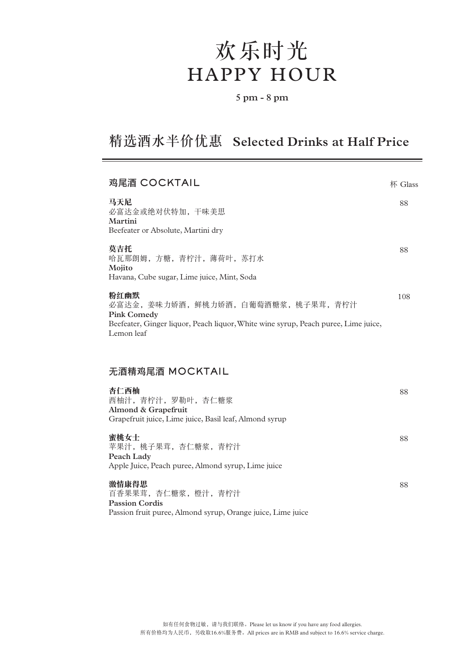# 欢乐时光 HAPPY HOUR

#### **5 pm - 8 pm**

# 精选酒水半价优惠 **Selected Drinks at Half Price**

| 鸡尾酒 COCKTAIL                                                                                                                                                            | 杯 Glass |
|-------------------------------------------------------------------------------------------------------------------------------------------------------------------------|---------|
| 马天尼<br>必富达金或绝对伏特加, 干味美思<br>Martini<br>Beefeater or Absolute, Martini dry                                                                                                | 88      |
| 莫吉托<br>哈瓦那朗姆,方糖,青柠汁,薄荷叶,苏打水<br>Mojito<br>Havana, Cube sugar, Lime juice, Mint, Soda                                                                                     | 88      |
| 粉红幽默<br>必富达金, 姜味力娇酒, 鲜桃力娇酒, 白葡萄酒糖浆, 桃子果茸, 青柠汁<br><b>Pink Comedy</b><br>Beefeater, Ginger liquor, Peach liquor, White wine syrup, Peach puree, Lime juice,<br>Lemon leaf | 108     |
| 无酒精鸡尾酒 MOCKTAIL                                                                                                                                                         |         |
| 杏仁西柚<br>西柚汁,青柠汁,罗勒叶,杏仁糖浆<br>Almond & Grapefruit<br>Grapefruit juice, Lime juice, Basil leaf, Almond syrup                                                               | 88      |
|                                                                                                                                                                         | 88      |
| 蜜桃女士<br>苹果汁, 桃子果茸, 杏仁糖浆, 青柠汁<br>Peach Lady<br>Apple Juice, Peach puree, Almond syrup, Lime juice                                                                        |         |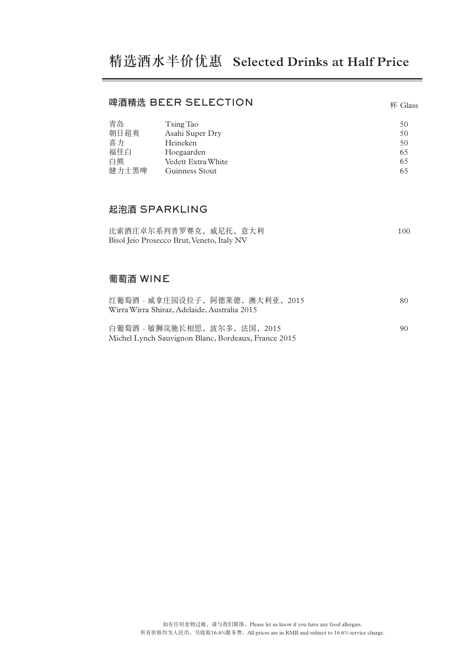#### 啤酒精选 BEER SELECTION

| 青岛    | Tsing Tao          | 50 |
|-------|--------------------|----|
| 朝日超爽  | Asahi Super Dry    | 50 |
| 喜力    | Heineken           | 50 |
| 福佳白   | Hoegaarden         | 65 |
| 白熊    | Vedett Extra White | 65 |
| 健力士黑啤 | Guinness Stout     | 65 |

杯 Glass

### 起泡酒 SPARKLING

| 比索酒庄卓尔系列普罗赛克, 威尼托, 意大利                     | 100. |
|--------------------------------------------|------|
| Bisol Jeio Prosecco Brut, Veneto, Italy NV |      |

# 葡萄酒 WINE

| 红葡萄酒 - 威拿庄园设拉子, 阿德莱德, 澳大利亚, 2015                    | 80. |
|-----------------------------------------------------|-----|
| Wirra Wirra Shiraz, Adelaide, Australia 2015        |     |
|                                                     |     |
| 白葡萄酒 - 敏狮岚驰长相思, 波尔多, 法国, 2015                       | 90. |
| Michel Lynch Sauvignon Blanc, Bordeaux, France 2015 |     |